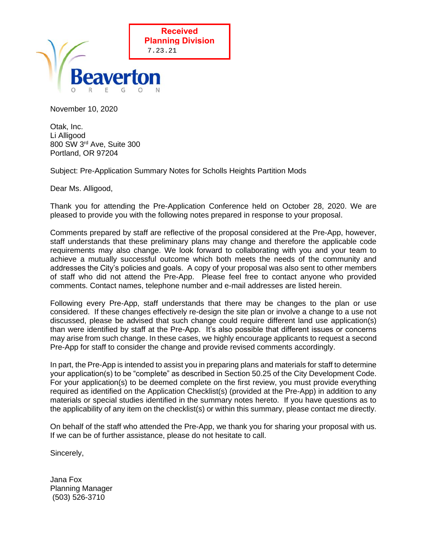

November 10, 2020

Otak, Inc. Li Alligood 800 SW 3rd Ave, Suite 300 Portland, OR 97204

Subject: Pre-Application Summary Notes for Scholls Heights Partition Mods

Dear Ms. Alligood,

Thank you for attending the Pre-Application Conference held on October 28, 2020. We are pleased to provide you with the following notes prepared in response to your proposal.

Comments prepared by staff are reflective of the proposal considered at the Pre-App, however, staff understands that these preliminary plans may change and therefore the applicable code requirements may also change. We look forward to collaborating with you and your team to achieve a mutually successful outcome which both meets the needs of the community and addresses the City's policies and goals. A copy of your proposal was also sent to other members of staff who did not attend the Pre-App. Please feel free to contact anyone who provided comments. Contact names, telephone number and e-mail addresses are listed herein.

Following every Pre-App, staff understands that there may be changes to the plan or use considered. If these changes effectively re-design the site plan or involve a change to a use not discussed, please be advised that such change could require different land use application(s) than were identified by staff at the Pre-App. It's also possible that different issues or concerns may arise from such change. In these cases, we highly encourage applicants to request a second Pre-App for staff to consider the change and provide revised comments accordingly.

In part, the Pre-App is intended to assist you in preparing plans and materials for staff to determine your application(s) to be "complete" as described in Section 50.25 of the City Development Code. For your application(s) to be deemed complete on the first review, you must provide everything required as identified on the Application Checklist(s) (provided at the Pre-App) in addition to any materials or special studies identified in the summary notes hereto. If you have questions as to the applicability of any item on the checklist(s) or within this summary, please contact me directly.

On behalf of the staff who attended the Pre-App, we thank you for sharing your proposal with us. If we can be of further assistance, please do not hesitate to call.

Sincerely,

Jana Fox Planning Manager (503) 526-3710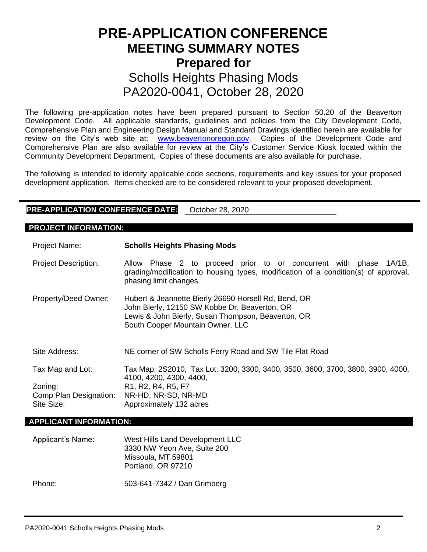# **PRE-APPLICATION CONFERENCE MEETING SUMMARY NOTES Prepared for**  Scholls Heights Phasing Mods PA2020-0041, October 28, 2020

The following pre-application notes have been prepared pursuant to Section 50.20 of the Beaverton Development Code. All applicable standards, guidelines and policies from the City Development Code, Comprehensive Plan and Engineering Design Manual and Standard Drawings identified herein are available for review on the City's web site at: [www.beavertonoregon.gov.](http://www.beavertonoregon.gov/) Copies of the Development Code and Comprehensive Plan are also available for review at the City's Customer Service Kiosk located within the Community Development Department. Copies of these documents are also available for purchase.

The following is intended to identify applicable code sections, requirements and key issues for your proposed development application. Items checked are to be considered relevant to your proposed development.

## **PRE-APPLICATION CONFERENCE DATE:** October 28, 2020

### **PROJECT INFORMATION:**

| <b>Project Name:</b>        | <b>Scholls Heights Phasing Mods</b>                                                                                                                                                             |
|-----------------------------|-------------------------------------------------------------------------------------------------------------------------------------------------------------------------------------------------|
| <b>Project Description:</b> | Allow Phase 2 to proceed prior to or concurrent with phase 1A/1B,<br>grading/modification to housing types, modification of a condition(s) of approval,<br>phasing limit changes.               |
| Property/Deed Owner:        | Hubert & Jeannette Bierly 26690 Horsell Rd, Bend, OR<br>John Bierly, 12150 SW Kobbe Dr, Beaverton, OR<br>Lewis & John Bierly, Susan Thompson, Beaverton, OR<br>South Cooper Mountain Owner, LLC |
| Site Address:               | NE corner of SW Scholls Ferry Road and SW Tile Flat Road                                                                                                                                        |
| Tax Map and Lot:            | Tax Map: 2S2010, Tax Lot: 3200, 3300, 3400, 3500, 3600, 3700, 3800, 3900, 4000,<br>4100, 4200, 4300, 4400,                                                                                      |
| Zoning:                     | R <sub>1</sub> , R <sub>2</sub> , R <sub>4</sub> , R <sub>5</sub> , F <sub>7</sub>                                                                                                              |
| Comp Plan Designation:      | NR-HD, NR-SD, NR-MD                                                                                                                                                                             |
| Site Size:                  | Approximately 132 acres                                                                                                                                                                         |

### **APPLICANT INFORMATION:**

| Applicant's Name: | West Hills Land Development LLC<br>3330 NW Yeon Ave, Suite 200<br>Missoula, MT 59801<br>Portland, OR 97210 |
|-------------------|------------------------------------------------------------------------------------------------------------|
| Phone:            | 503-641-7342 / Dan Grimberg                                                                                |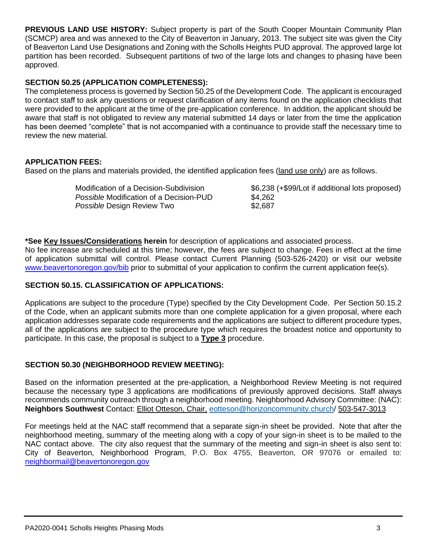**PREVIOUS LAND USE HISTORY:** Subject property is part of the South Cooper Mountain Community Plan (SCMCP) area and was annexed to the City of Beaverton in January, 2013. The subject site was given the City of Beaverton Land Use Designations and Zoning with the Scholls Heights PUD approval. The approved large lot partition has been recorded. Subsequent partitions of two of the large lots and changes to phasing have been approved.

# **SECTION 50.25 (APPLICATION COMPLETENESS):**

The completeness process is governed by Section 50.25 of the Development Code. The applicant is encouraged to contact staff to ask any questions or request clarification of any items found on the application checklists that were provided to the applicant at the time of the pre-application conference. In addition, the applicant should be aware that staff is not obligated to review any material submitted 14 days or later from the time the application has been deemed "complete" that is not accompanied with a continuance to provide staff the necessary time to review the new material.

## **APPLICATION FEES:**

Based on the plans and materials provided, the identified application fees (land use only) are as follows.

| Modification of a Decision-Subdivision         | \$6,238 (+\$99/Lot if additional lots proposed) |
|------------------------------------------------|-------------------------------------------------|
| <i>Possible</i> Modification of a Decision-PUD | \$4,262                                         |
| Possible Design Review Two                     | \$2,687                                         |

**\*See Key Issues/Considerations herein** for description of applications and associated process.

No fee increase are scheduled at this time; however, the fees are subject to change. Fees in effect at the time of application submittal will control. Please contact Current Planning (503-526-2420) or visit our website [www.beavertonoregon.gov/bib](http://www.beavertonoregon.gov/bib) prior to submittal of your application to confirm the current application fee(s).

## **SECTION 50.15. CLASSIFICATION OF APPLICATIONS:**

Applications are subject to the procedure (Type) specified by the City Development Code. Per Section 50.15.2 of the Code, when an applicant submits more than one complete application for a given proposal, where each application addresses separate code requirements and the applications are subject to different procedure types, all of the applications are subject to the procedure type which requires the broadest notice and opportunity to participate. In this case, the proposal is subject to a **Type 3** procedure.

## **SECTION 50.30 (NEIGHBORHOOD REVIEW MEETING):**

Based on the information presented at the pre-application, a Neighborhood Review Meeting is not required because the necessary type 3 applications are modifications of previously approved decisions. Staff always recommends community outreach through a neighborhood meeting. Neighborhood Advisory Committee: (NAC): **Neighbors Southwest** Contact: Elliot Otteson, Chair, [eotteson@horizoncommunity.church/](mailto:eotteson@horizoncommunity.church) 503-547-3013

For meetings held at the NAC staff recommend that a separate sign-in sheet be provided. Note that after the neighborhood meeting, summary of the meeting along with a copy of your sign-in sheet is to be mailed to the NAC contact above. The city also request that the summary of the meeting and sign-in sheet is also sent to: City of Beaverton, Neighborhood Program, P.O. Box 4755, Beaverton, OR 97076 or emailed to: [neighbormail@beavertonoregon.gov](mailto:neighbormail@beavertonoregon.gov)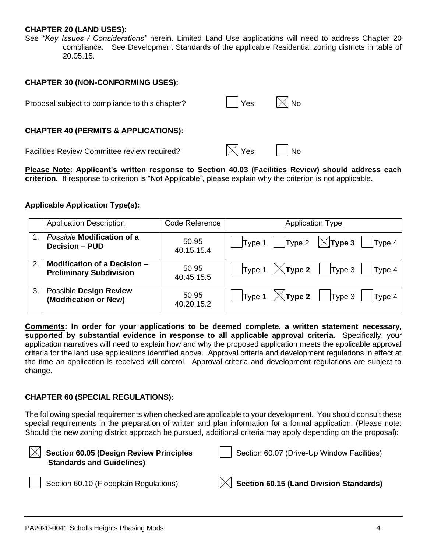## **CHAPTER 20 (LAND USES):**

See *"Key Issues / Considerations"* herein. Limited Land Use applications will need to address Chapter 20 compliance. See Development Standards of the applicable Residential zoning districts in table of 20.05.15.

## **CHAPTER 30 (NON-CONFORMING USES):**

| Proposal subject to compliance to this chapter? | │  │Yes          | $\mathsf{I}\bar{\mathsf{X}}\mathsf{I}$ No |
|-------------------------------------------------|------------------|-------------------------------------------|
| <b>CHAPTER 40 (PERMITS &amp; APPLICATIONS):</b> |                  |                                           |
| Facilities Review Committee review required?    | $\mathbb{R}$ Yes | <b>No</b>                                 |

**Please Note: Applicant's written response to Section 40.03 (Facilities Review) should address each criterion.** If response to criterion is "Not Applicable", please explain why the criterion is not applicable.

## **Applicable Application Type(s):**

|    | <b>Application Description</b>      | Code Reference | <b>Application Type</b>                                                                            |
|----|-------------------------------------|----------------|----------------------------------------------------------------------------------------------------|
|    | Possible Modification of a          | 50.95          | $\vert$ Type 1 $\vert$ Type 2 $\vert \times$ <b>Type 3</b>                                         |
|    | <b>Decision - PUD</b>               | 40.15.15.4     | Type 4                                                                                             |
| 2. | <b>Modification of a Decision -</b> | 50.95          | $\mathsf{Type} \mathsf{1}$ $\mathsf{\times} \mathsf{Type} \mathsf{2}$   $\mathsf{Type} \mathsf{3}$ |
|    | <b>Preliminary Subdivision</b>      | 40.45.15.5     | Type 4                                                                                             |
| 3. | <b>Possible Design Review</b>       | 50.95          | $\mathsf{Type} \mathsf{1}$ $\mathsf{\times} \mathsf{Type} \mathsf{2}$   $\mathsf{Type} \mathsf{3}$ |
|    | (Modification or New)               | 40.20.15.2     | Type 4                                                                                             |

**Comments: In order for your applications to be deemed complete, a written statement necessary, supported by substantial evidence in response to all applicable approval criteria.** Specifically, your application narratives will need to explain how and why the proposed application meets the applicable approval criteria for the land use applications identified above. Approval criteria and development regulations in effect at the time an application is received will control. Approval criteria and development regulations are subject to change.

#### **CHAPTER 60 (SPECIAL REGULATIONS):**

The following special requirements when checked are applicable to your development. You should consult these special requirements in the preparation of written and plan information for a formal application. (Please note: Should the new zoning district approach be pursued, additional criteria may apply depending on the proposal):

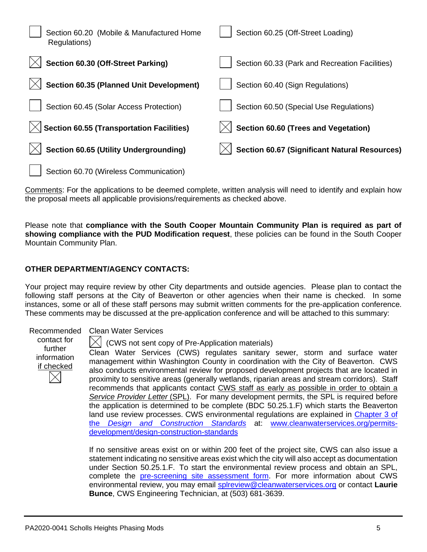| Section 60.20 (Mobile & Manufactured Home<br>Regulations) | Section 60.25 (Off-Street Loading)                   |
|-----------------------------------------------------------|------------------------------------------------------|
| Section 60.30 (Off-Street Parking)                        | Section 60.33 (Park and Recreation Facilities)       |
| <b>Section 60.35 (Planned Unit Development)</b>           | Section 60.40 (Sign Regulations)                     |
| Section 60.45 (Solar Access Protection)                   | Section 60.50 (Special Use Regulations)              |
| <b>Section 60.55 (Transportation Facilities)</b>          | Section 60.60 (Trees and Vegetation)                 |
| <b>Section 60.65 (Utility Undergrounding)</b>             | <b>Section 60.67 (Significant Natural Resources)</b> |
| Section 60.70 (Wireless Communication)                    |                                                      |

Comments: For the applications to be deemed complete, written analysis will need to identify and explain how the proposal meets all applicable provisions/requirements as checked above.

Please note that **compliance with the South Cooper Mountain Community Plan is required as part of showing compliance with the PUD Modification request**, these policies can be found in the South Cooper Mountain Community Plan.

## **OTHER DEPARTMENT/AGENCY CONTACTS:**

Your project may require review by other City departments and outside agencies. Please plan to contact the following staff persons at the City of Beaverton or other agencies when their name is checked. In some instances, some or all of these staff persons may submit written comments for the pre-application conference. These comments may be discussed at the pre-application conference and will be attached to this summary:

contact for further information if checked

### Recommended Clean Water Services

(CWS not sent copy of Pre-Application materials)

Clean Water Services (CWS) regulates sanitary sewer, storm and surface water management within Washington County in coordination with the City of Beaverton. CWS also conducts environmental review for proposed development projects that are located in proximity to sensitive areas (generally wetlands, riparian areas and stream corridors). Staff recommends that applicants contact CWS staff as early as possible in order to obtain a *Service Provider Letter* (SPL). For many development permits, the SPL is required before the application is determined to be complete (BDC 50.25.1.F) which starts the Beaverton land use review processes. CWS environmental regulations are explained in Chapter 3 of the *[Design and Construction Standards](https://www.cleanwaterservices.org/media/1759/dc-chapter-3.pdf)* at: [www.cleanwaterservices.org/permits](http://www.cleanwaterservices.org/permits-development/design-construction-standards)[development/design-construction-standards](http://www.cleanwaterservices.org/permits-development/design-construction-standards)

If no sensitive areas exist on or within 200 feet of the project site, CWS can also issue a statement indicating no sensitive areas exist which the city will also accept as documentation under Section 50.25.1.F. To start the environmental review process and obtain an SPL, complete the [pre-screening site assessment form.](http://www.cleanwaterservices.org/documents-forms/pre-screen-form/) For more information about CWS environmental review, you may email [splreview@cleanwaterservices.org](mailto:splreview@cleanwaterservices.org) or contact **Laurie Bunce**, CWS Engineering Technician, at (503) 681-3639.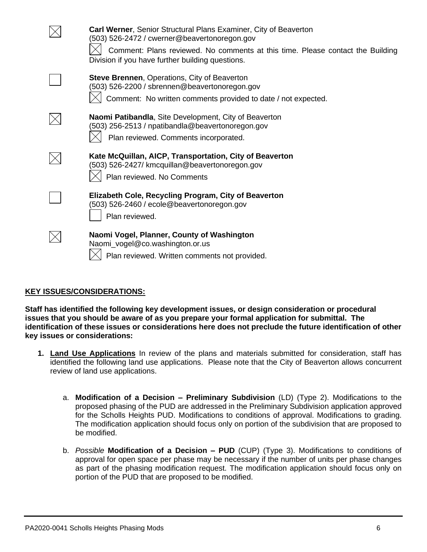| <b>Carl Werner, Senior Structural Plans Examiner, City of Beaverton</b><br>(503) 526-2472 / cwerner@beavertonoregon.gov<br>Comment: Plans reviewed. No comments at this time. Please contact the Building<br>Division if you have further building questions. |
|---------------------------------------------------------------------------------------------------------------------------------------------------------------------------------------------------------------------------------------------------------------|
| <b>Steve Brennen, Operations, City of Beaverton</b><br>(503) 526-2200 / sbrennen@beavertonoregon.gov<br>Comment: No written comments provided to date / not expected.                                                                                         |
| Naomi Patibandla, Site Development, City of Beaverton<br>(503) 256-2513 / npatibandla@beavertonoregon.gov<br>Plan reviewed. Comments incorporated.                                                                                                            |
| Kate McQuillan, AICP, Transportation, City of Beaverton<br>(503) 526-2427/ kmcquillan@beavertonoregon.gov<br>Plan reviewed. No Comments                                                                                                                       |
| Elizabeth Cole, Recycling Program, City of Beaverton<br>(503) 526-2460 / ecole@beavertonoregon.gov<br>Plan reviewed.                                                                                                                                          |
| Naomi Vogel, Planner, County of Washington<br>Naomi_vogel@co.washington.or.us<br>Plan reviewed. Written comments not provided.                                                                                                                                |

## **KEY ISSUES/CONSIDERATIONS:**

**Staff has identified the following key development issues, or design consideration or procedural issues that you should be aware of as you prepare your formal application for submittal. The identification of these issues or considerations here does not preclude the future identification of other key issues or considerations:**

- **1. Land Use Applications** In review of the plans and materials submitted for consideration, staff has identified the following land use applications. Please note that the City of Beaverton allows concurrent review of land use applications.
	- a. **Modification of a Decision – Preliminary Subdivision** (LD) (Type 2). Modifications to the proposed phasing of the PUD are addressed in the Preliminary Subdivision application approved for the Scholls Heights PUD. Modifications to conditions of approval. Modifications to grading. The modification application should focus only on portion of the subdivision that are proposed to be modified.
	- b. *Possible* **Modification of a Decision – PUD** (CUP) (Type 3). Modifications to conditions of approval for open space per phase may be necessary if the number of units per phase changes as part of the phasing modification request. The modification application should focus only on portion of the PUD that are proposed to be modified.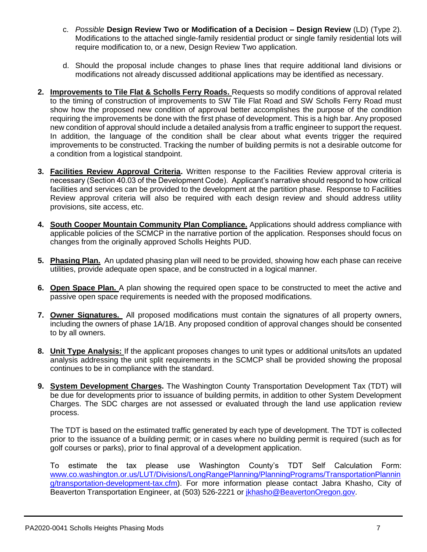- c. *Possible* **Design Review Two or Modification of a Decision – Design Review** (LD) (Type 2). Modifications to the attached single-family residential product or single family residential lots will require modification to, or a new, Design Review Two application.
- d. Should the proposal include changes to phase lines that require additional land divisions or modifications not already discussed additional applications may be identified as necessary.
- **2. Improvements to Tile Flat & Scholls Ferry Roads.** Requests so modify conditions of approval related to the timing of construction of improvements to SW Tile Flat Road and SW Scholls Ferry Road must show how the proposed new condition of approval better accomplishes the purpose of the condition requiring the improvements be done with the first phase of development. This is a high bar. Any proposed new condition of approval should include a detailed analysis from a traffic engineer to support the request. In addition, the language of the condition shall be clear about what events trigger the required improvements to be constructed. Tracking the number of building permits is not a desirable outcome for a condition from a logistical standpoint.
- **3. Facilities Review Approval Criteria.** Written response to the Facilities Review approval criteria is necessary (Section 40.03 of the Development Code). Applicant's narrative should respond to how critical facilities and services can be provided to the development at the partition phase. Response to Facilities Review approval criteria will also be required with each design review and should address utility provisions, site access, etc.
- **4. South Cooper Mountain Community Plan Compliance.** Applications should address compliance with applicable policies of the SCMCP in the narrative portion of the application. Responses should focus on changes from the originally approved Scholls Heights PUD.
- **5. Phasing Plan.** An updated phasing plan will need to be provided, showing how each phase can receive utilities, provide adequate open space, and be constructed in a logical manner.
- **6. Open Space Plan.** A plan showing the required open space to be constructed to meet the active and passive open space requirements is needed with the proposed modifications.
- **7. Owner Signatures.** All proposed modifications must contain the signatures of all property owners, including the owners of phase 1A/1B. Any proposed condition of approval changes should be consented to by all owners.
- **8. Unit Type Analysis:** If the applicant proposes changes to unit types or additional units/lots an updated analysis addressing the unit split requirements in the SCMCP shall be provided showing the proposal continues to be in compliance with the standard.
- **9. System Development Charges.** The Washington County Transportation Development Tax (TDT) will be due for developments prior to issuance of building permits, in addition to other System Development Charges. The SDC charges are not assessed or evaluated through the land use application review process.

The TDT is based on the estimated traffic generated by each type of development. The TDT is collected prior to the issuance of a building permit; or in cases where no building permit is required (such as for golf courses or parks), prior to final approval of a development application.

To estimate the tax please use Washington County's TDT Self Calculation Form: [www.co.washington.or.us/LUT/Divisions/LongRangePlanning/PlanningPrograms/TransportationPlannin](http://www.co.washington.or.us/LUT/Divisions/LongRangePlanning/PlanningPrograms/TransportationPlanning/transportation-development-tax.cfm) [g/transportation-development-tax.cfm\)](http://www.co.washington.or.us/LUT/Divisions/LongRangePlanning/PlanningPrograms/TransportationPlanning/transportation-development-tax.cfm). For more information please contact Jabra Khasho, City of Beaverton Transportation Engineer, at (503) 526-2221 or [jkhasho@BeavertonOregon.gov.](file://///COBNAS2/CDD$/Transportation/Projects/Beaverton%20Development%20Review/PreApp%20Comments/2015%20PreApps/jkhasho@BeavertonOregon.gov)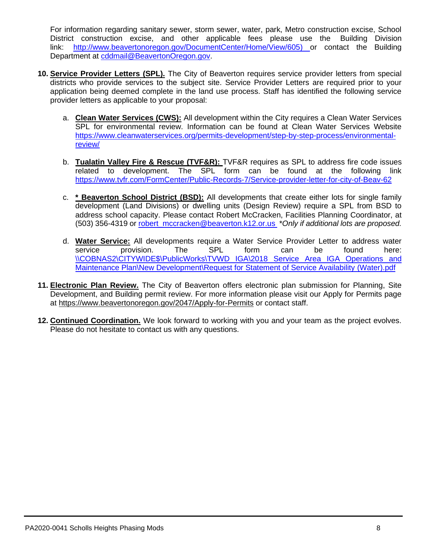For information regarding sanitary sewer, storm sewer, water, park, Metro construction excise, School District construction excise, and other applicable fees please use the Building Division link: [http://www.beavertonoregon.gov/DocumentCenter/Home/View/605\)](http://www.beavertonoregon.gov/DocumentCenter/Home/View/605) or contact the Building Department at [cddmail@BeavertonOregon.gov.](mailto:cddmail@BeavertonOregon.gov)

- **10. Service Provider Letters (SPL).** The City of Beaverton requires service provider letters from special districts who provide services to the subject site. Service Provider Letters are required prior to your application being deemed complete in the land use process. Staff has identified the following service provider letters as applicable to your proposal:
	- a. **Clean Water Services (CWS):** All development within the City requires a Clean Water Services SPL for environmental review. Information can be found at Clean Water Services Website [https://www.cleanwaterservices.org/permits-development/step-by-step-process/environmental](https://www.cleanwaterservices.org/permits-development/step-by-step-process/environmental-review/)[review/](https://www.cleanwaterservices.org/permits-development/step-by-step-process/environmental-review/)
	- b. **Tualatin Valley Fire & Rescue (TVF&R):** TVF&R requires as SPL to address fire code issues related to development. The SPL form can be found at the following link <https://www.tvfr.com/FormCenter/Public-Records-7/Service-provider-letter-for-city-of-Beav-62>
	- c. **\* Beaverton School District (BSD):** All developments that create either lots for single family development (Land Divisions) or dwelling units (Design Review) require a SPL from BSD to address school capacity. Please contact Robert McCracken, Facilities Planning Coordinator, at (503) 356-4319 or [robert\\_mccracken@beaverton.k12.or.us](mailto:robert_mccracken@beaverton.k12.or.us) \**Only if additional lots are proposed.*
	- d. **Water Service:** All developments require a Water Service Provider Letter to address water service provision. The SPL form can be found here: \\COBNAS2\CITYWIDE\$\PublicWorks\TVWD IGA\2018 Service Area IGA Operations and [Maintenance Plan\New Development\Request for Statement of Service Availability](file://///COBNAS2/CITYWIDE$/PublicWorks/TVWD%20IGA/2018%20Service%20Area%20IGA%20Operations%20and%20Maintenance%20Plan/New%20Development/Request%20for%20Statement%20of%20Service%20Availability%20(Water).pdf) (Water).pdf
- **11. Electronic Plan Review.** The City of Beaverton offers electronic plan submission for Planning, Site Development, and Building permit review. For more information please visit our Apply for Permits page at<https://www.beavertonoregon.gov/2047/Apply-for-Permits> or contact staff.
- **12. Continued Coordination.** We look forward to working with you and your team as the project evolves. Please do not hesitate to contact us with any questions.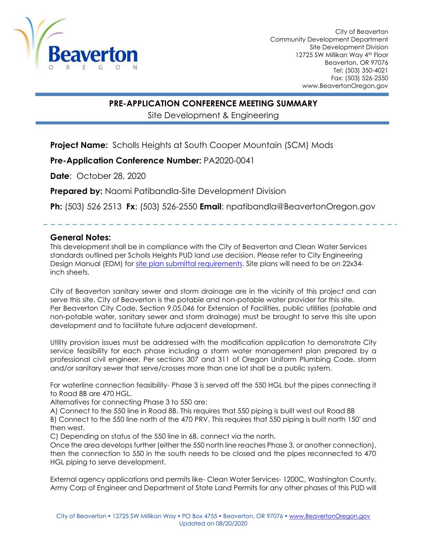

City of Beaverton Community Development Department Site Development Division 12725 SW Millikan Way 4th Floor Beaverton, OR 97076 Tel: (503) 350-4021 Fax: (503) 526-2550 www.BeavertonOregon.gov

# **PRE-APPLICATION CONFERENCE MEETING SUMMARY**

Site Development & Engineering

**Project Name:** Scholls Heights at South Cooper Mountain (SCM) Mods

# **Pre-Application Conference Number:** PA2020-0041

**Date**: October 28, 2020

**Prepared by:** Naomi Patibandla-Site Development Division

**Ph:** (503) 526 2513 **Fx**: (503) 526-2550 **Email**: npatibandla@BeavertonOregon.gov

## **General Notes:**

This development shall be in compliance with the City of Beaverton and Clean Water Services standards outlined per Scholls Heights PUD land use decision. Please refer to City Engineering Design Manual (EDM) for [site plan submittal requirements.](https://www.beavertonoregon.gov/DocumentCenter/View/24662/2018-EDM-Chapter-1) Site plans will need to be on 22x34inch sheets.

City of Beaverton sanitary sewer and storm drainage are in the vicinity of this project and can serve this site. City of Beaverton is the potable and non-potable water provider for this site. Per Beaverton City Code, Section 9.05.046 for Extension of Facilities, public utilities (potable and non-potable water, sanitary sewer and storm drainage) must be brought to serve this site upon development and to facilitate future adjacent development.

Utility provision issues must be addressed with the modification application to demonstrate City service feasibility for each phase including a storm water management plan prepared by a professional civil engineer. Per sections 307 and 311 of Oregon Uniform Plumbing Code, storm and/or sanitary sewer that serve/crosses more than one lot shall be a public system.

For waterline connection feasibility- Phase 3 is served off the 550 HGL but the pipes connecting it to Road 8B are 470 HGL.

Alternatives for connecting Phase 3 to 550 are:

A) Connect to the 550 line in Road 8B. This requires that 550 piping is built west out Road 8B

B) Connect to the 550 line north of the 470 PRV. This requires that 550 piping is built north 150' and then west.

C) Depending on status of the 550 line in 6B, connect via the north.

Once the area develops further (either the 550 north line reaches Phase 3, or another connection), then the connection to 550 in the south needs to be closed and the pipes reconnected to 470 HGL piping to serve development.

External agency applications and permits like- Clean Water Services- 1200C, Washington County, Army Corp of Engineer and Department of State Land Permits for any other phases of this PUD will